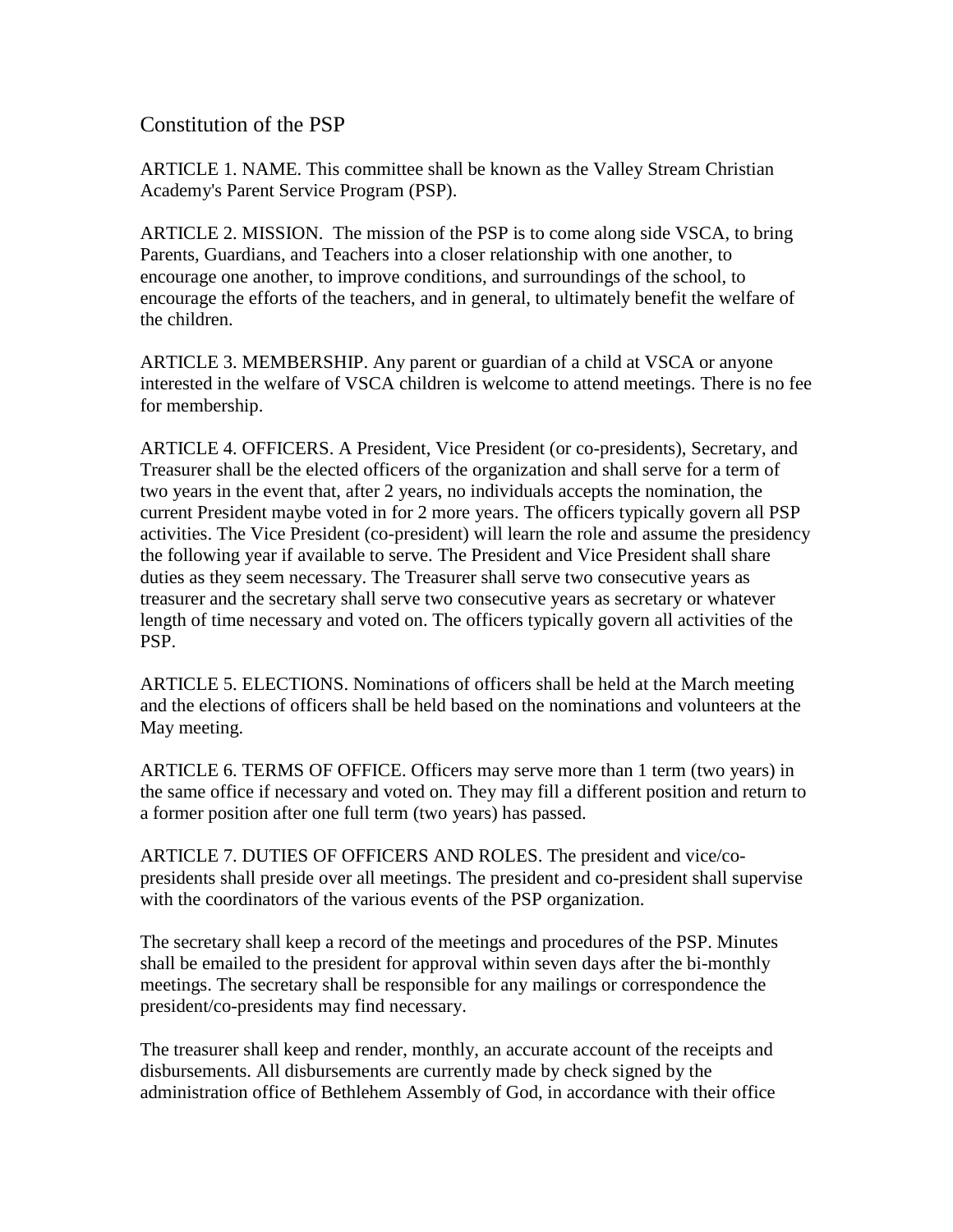Constitution of the PSP

ARTICLE 1. NAME. This committee shall be known as the Valley Stream Christian Academy's Parent Service Program (PSP).

ARTICLE 2. MISSION. The mission of the PSP is to come along side VSCA, to bring Parents, Guardians, and Teachers into a closer relationship with one another, to encourage one another, to improve conditions, and surroundings of the school, to encourage the efforts of the teachers, and in general, to ultimately benefit the welfare of the children.

ARTICLE 3. MEMBERSHIP. Any parent or guardian of a child at VSCA or anyone interested in the welfare of VSCA children is welcome to attend meetings. There is no fee for membership.

ARTICLE 4. OFFICERS. A President, Vice President (or co-presidents), Secretary, and Treasurer shall be the elected officers of the organization and shall serve for a term of two years in the event that, after 2 years, no individuals accepts the nomination, the current President maybe voted in for 2 more years. The officers typically govern all PSP activities. The Vice President (co-president) will learn the role and assume the presidency the following year if available to serve. The President and Vice President shall share duties as they seem necessary. The Treasurer shall serve two consecutive years as treasurer and the secretary shall serve two consecutive years as secretary or whatever length of time necessary and voted on. The officers typically govern all activities of the PSP.

ARTICLE 5. ELECTIONS. Nominations of officers shall be held at the March meeting and the elections of officers shall be held based on the nominations and volunteers at the May meeting.

ARTICLE 6. TERMS OF OFFICE. Officers may serve more than 1 term (two years) in the same office if necessary and voted on. They may fill a different position and return to a former position after one full term (two years) has passed.

ARTICLE 7. DUTIES OF OFFICERS AND ROLES. The president and vice/copresidents shall preside over all meetings. The president and co-president shall supervise with the coordinators of the various events of the PSP organization.

The secretary shall keep a record of the meetings and procedures of the PSP. Minutes shall be emailed to the president for approval within seven days after the bi-monthly meetings. The secretary shall be responsible for any mailings or correspondence the president/co-presidents may find necessary.

The treasurer shall keep and render, monthly, an accurate account of the receipts and disbursements. All disbursements are currently made by check signed by the administration office of Bethlehem Assembly of God, in accordance with their office